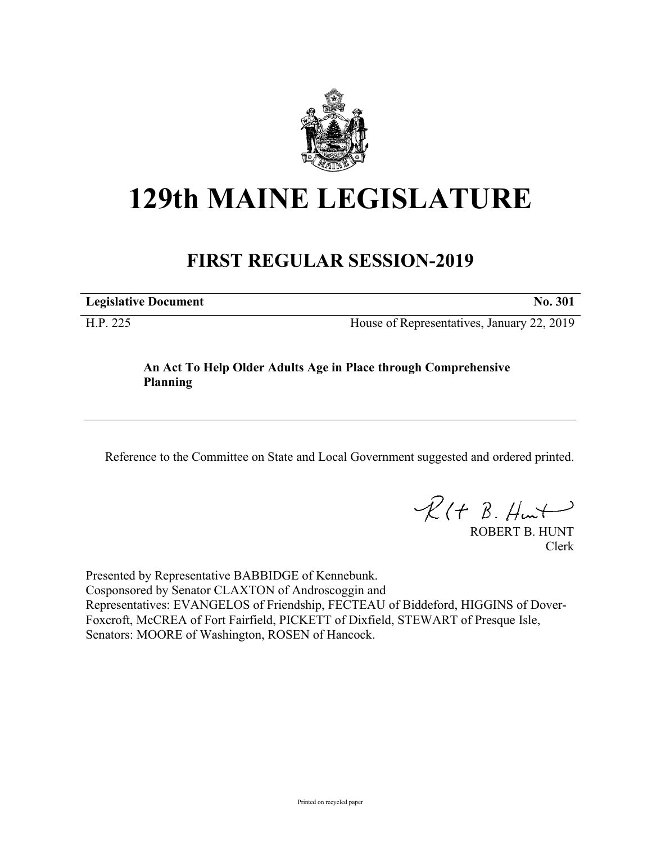

## **129th MAINE LEGISLATURE**

## **FIRST REGULAR SESSION-2019**

**Legislative Document No. 301**

H.P. 225 House of Representatives, January 22, 2019

## **An Act To Help Older Adults Age in Place through Comprehensive Planning**

Reference to the Committee on State and Local Government suggested and ordered printed.

 $R(t B. Hmt)$ 

ROBERT B. HUNT Clerk

Presented by Representative BABBIDGE of Kennebunk. Cosponsored by Senator CLAXTON of Androscoggin and Representatives: EVANGELOS of Friendship, FECTEAU of Biddeford, HIGGINS of Dover-Foxcroft, McCREA of Fort Fairfield, PICKETT of Dixfield, STEWART of Presque Isle, Senators: MOORE of Washington, ROSEN of Hancock.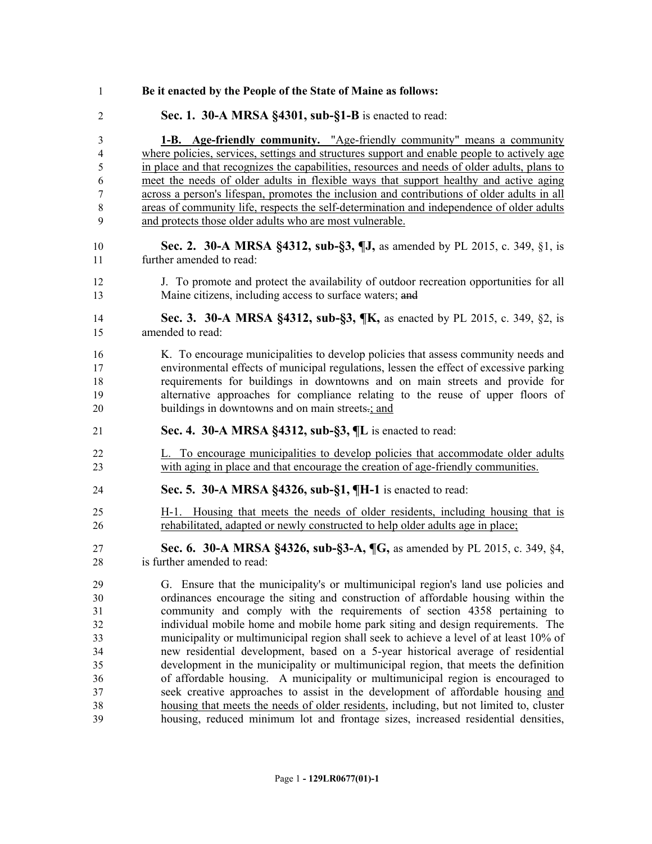| $\mathbf{1}$   | Be it enacted by the People of the State of Maine as follows:                                                                                                                |
|----------------|------------------------------------------------------------------------------------------------------------------------------------------------------------------------------|
| $\mathfrak{2}$ | Sec. 1. 30-A MRSA §4301, sub-§1-B is enacted to read:                                                                                                                        |
| 3              | 1-B. Age-friendly community. "Age-friendly community" means a community                                                                                                      |
| 4              | where policies, services, settings and structures support and enable people to actively age                                                                                  |
| $\mathfrak s$  | in place and that recognizes the capabilities, resources and needs of older adults, plans to                                                                                 |
| 6              | meet the needs of older adults in flexible ways that support healthy and active aging                                                                                        |
| 7              | across a person's lifespan, promotes the inclusion and contributions of older adults in all                                                                                  |
| $8\,$          | areas of community life, respects the self-determination and independence of older adults                                                                                    |
| 9              | and protects those older adults who are most vulnerable.                                                                                                                     |
| 10<br>11       | Sec. 2. 30-A MRSA §4312, sub-§3, ¶J, as amended by PL 2015, c. 349, §1, is<br>further amended to read:                                                                       |
| 12             | J. To promote and protect the availability of outdoor recreation opportunities for all                                                                                       |
| 13             | Maine citizens, including access to surface waters; and                                                                                                                      |
| 14<br>15       | Sec. 3. 30-A MRSA §4312, sub-§3, ¶K, as enacted by PL 2015, c. 349, §2, is<br>amended to read:                                                                               |
| 16             | K. To encourage municipalities to develop policies that assess community needs and                                                                                           |
| 17             | environmental effects of municipal regulations, lessen the effect of excessive parking                                                                                       |
| 18             | requirements for buildings in downtowns and on main streets and provide for                                                                                                  |
| 19             | alternative approaches for compliance relating to the reuse of upper floors of                                                                                               |
| 20             | buildings in downtowns and on main streets-; and                                                                                                                             |
| 21             | Sec. 4. 30-A MRSA §4312, sub-§3, ¶L is enacted to read:                                                                                                                      |
| 22<br>23       | L. To encourage municipalities to develop policies that accommodate older adults<br>with aging in place and that encourage the creation of age-friendly communities.         |
| 24             | Sec. 5. 30-A MRSA §4326, sub-§1, ¶H-1 is enacted to read:                                                                                                                    |
| 25             | H-1. Housing that meets the needs of older residents, including housing that is                                                                                              |
| 26             | rehabilitated, adapted or newly constructed to help older adults age in place;                                                                                               |
| 27             | <b>Sec. 6. 30-A MRSA §4326, sub-§3-A, ¶G, as amended by PL 2015, c. 349, §4,</b>                                                                                             |
| 28             | is further amended to read:                                                                                                                                                  |
| 29             | G. Ensure that the municipality's or multimunicipal region's land use policies and                                                                                           |
| 30             | ordinances encourage the siting and construction of affordable housing within the                                                                                            |
| 31             | community and comply with the requirements of section 4358 pertaining to                                                                                                     |
| 32             | individual mobile home and mobile home park siting and design requirements. The                                                                                              |
| 33             | municipality or multimunicipal region shall seek to achieve a level of at least 10% of                                                                                       |
| 34             | new residential development, based on a 5-year historical average of residential                                                                                             |
| 35             | development in the municipality or multimunicipal region, that meets the definition                                                                                          |
| 36             | of affordable housing. A municipality or multimunicipal region is encouraged to                                                                                              |
| 37             | seek creative approaches to assist in the development of affordable housing and                                                                                              |
| 38<br>39       | housing that meets the needs of older residents, including, but not limited to, cluster<br>housing, reduced minimum lot and frontage sizes, increased residential densities, |
|                |                                                                                                                                                                              |